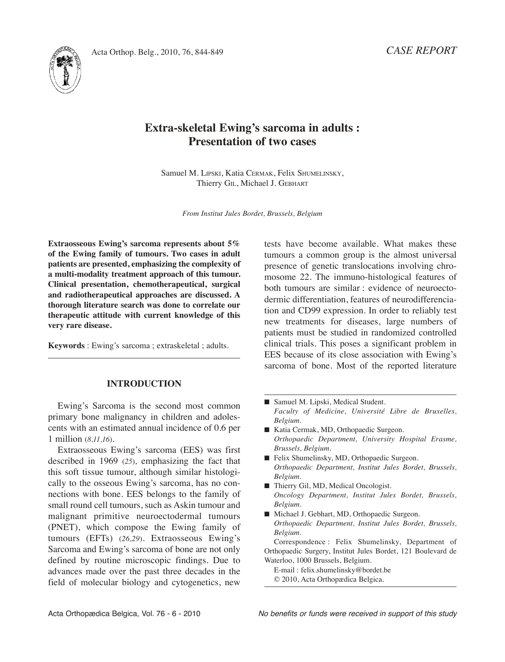

# **Extra-skeletal Ewing's sarcoma in adults : Presentation of two cases**

Samuel M. LIpSKI, Katia CErMAK, Felix ShuMELInSKy, Thierry GIL, Michael J. GEBhArT

*From Institut Jules Bordet, Brussels, Belgium*

**Extraosseous Ewing's sarcoma represents about 5% of the Ewing family of tumours. Two cases in adult patients are presented, emphasizing the complexity of a multi-modality treatment approach of this tumour. Clinical presentation, chemotherapeutical, surgical and radiotherapeutical approaches are discussed. A thorough literature search was done to correlate our therapeutic attitude with current knowledge of this very rare disease.**

**Keywords** : Ewing's sarcoma ; extraskeletal ; adults.

### **INTRODUCTION**

Ewing's Sarcoma is the second most common primary bone malignancy in children and adolescents with an estimated annual incidence of 0.6 per 1 million (*8,11,16*)*.*

Extraosseous Ewing's sarcoma (EES) was first described in 1969 (*25*)*,* emphasizing the fact that this soft tissue tumour, although similar histologically to the osseous Ewing's sarcoma, has no connections with bone. EES belongs to the family of small round cell tumours, such as Askin tumour and malignant primitive neuroectodermal tumours (pnET), which compose the Ewing family of tumours (EFTs) (*26,29*)*.* Extraosseous Ewing's Sarcoma and Ewing's sarcoma of bone are not only defined by routine microscopic findings. Due to advances made over the past three decades in the field of molecular biology and cytogenetics, new

tests have become available. What makes these tumours a common group is the almost universal presence of genetic translocations involving chromosome 22. The immuno-histological features of both tumours are similar : evidence of neuroectodermic differentiation, features of neurodifferenciation and CD99 expression. In order to reliably test new treatments for diseases, large numbers of patients must be studied in randomized controlled clinical trials. This poses a significant problem in EES because of its close association with Ewing's sarcoma of bone. Most of the reported literature

- Samuel M. Lipski, Medical Student. *Faculty of Medicine, Université Libre de Bruxelles, Belgium.*
- Katia Cermak, MD, Orthopaedic Surgeon. *Orthopaedic Department, University Hospital Erasme, Brussels, Belgium.*
- Felix Shumelinsky, MD, Orthopaedic Surgeon. *Orthopaedic Department, Institut Jules Bordet, Brussels, Belgium.*
- Thierry Gil, MD, Medical Oncologist. *Oncology Department, Institut Jules Bordet, Brussels, Belgium.*
- Michael J. Gebhart, MD, Orthopaedic Surgeon. *Orthopaedic Department, Institut Jules Bordet, Brussels, Belgium.*

Correspondence : Felix Shumelinsky, Department of Orthopaedic Surgery, Institut Jules Bordet, 121 Boulevard de Waterloo, 1000 Brussels, Belgium.

E-mail : felix.shumelinsky@bordet.be © 2010, Acta Orthopædica Belgica.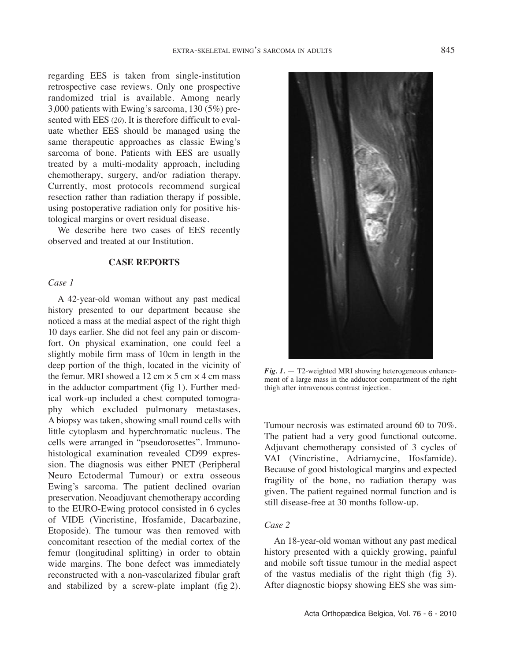regarding EES is taken from single-institution retrospective case reviews. Only one prospective randomized trial is available. Among nearly 3,000 patients with Ewing's sarcoma, 130 (5%) presented with EES (*20*). It is therefore difficult to evaluate whether EES should be managed using the same therapeutic approaches as classic Ewing's sarcoma of bone. Patients with EES are usually treated by a multi-modality approach, including chemotherapy, surgery, and/or radiation therapy. Currently, most protocols recommend surgical resection rather than radiation therapy if possible, using postoperative radiation only for positive histological margins or overt residual disease.

We describe here two cases of EES recently observed and treated at our Institution.

## **CASE REPORTS**

## *Case 1*

A 42-year-old woman without any past medical history presented to our department because she noticed a mass at the medial aspect of the right thigh 10 days earlier. She did not feel any pain or discomfort. On physical examination, one could feel a slightly mobile firm mass of 10cm in length in the deep portion of the thigh, located in the vicinity of the femur. MRI showed a 12 cm  $\times$  5 cm  $\times$  4 cm mass in the adductor compartment (fig 1). Further medical work-up included a chest computed tomography which excluded pulmonary metastases. A biopsy was taken, showing small round cells with little cytoplasm and hyperchromatic nucleus. The cells were arranged in "pseudorosettes". Immunohistological examination revealed CD99 expression. The diagnosis was either PNET (Peripheral Neuro Ectodermal Tumour) or extra osseous Ewing's sarcoma. The patient declined ovarian preservation. Neoadjuvant chemotherapy according to the EurO-Ewing protocol consisted in 6 cycles of VIDE (Vincristine, Ifosfamide, Dacarbazine, Etoposide). The tumour was then removed with concomitant resection of the medial cortex of the femur (longitudinal splitting) in order to obtain wide margins. The bone defect was immediately reconstructed with a non-vascularized fibular graft and stabilized by a screw-plate implant (fig 2).



 $Fig. 1. - T2$ -weighted MRI showing heterogeneous enhancement of a large mass in the adductor compartment of the right thigh after intravenous contrast injection.

Tumour necrosis was estimated around 60 to 70%. The patient had a very good functional outcome. Adjuvant chemotherapy consisted of 3 cycles of VAI (Vincristine, Adriamycine, Ifosfamide). Because of good histological margins and expected fragility of the bone, no radiation therapy was given. The patient regained normal function and is still disease-free at 30 months follow-up.

### *Case 2*

An 18-year-old woman without any past medical history presented with a quickly growing, painful and mobile soft tissue tumour in the medial aspect of the vastus medialis of the right thigh (fig 3). After diagnostic biopsy showing EES she was sim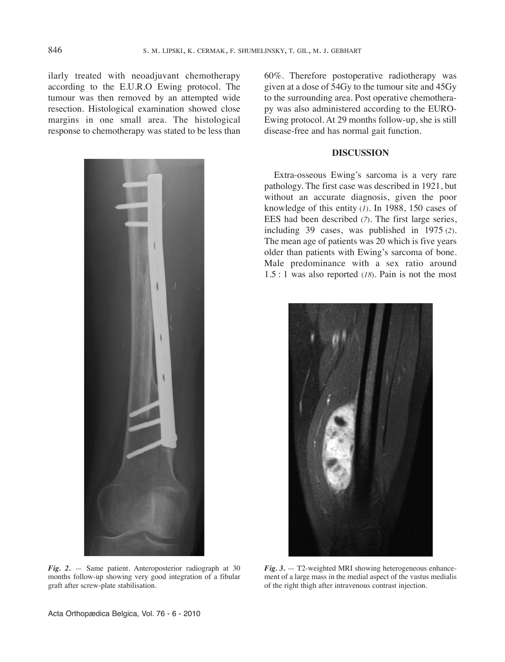ilarly treated with neoadjuvant chemotherapy according to the E.U.R.O Ewing protocol. The tumour was then removed by an attempted wide resection. histological examination showed close margins in one small area. The histological response to chemotherapy was stated to be less than



*Fig. 2.* — Same patient. Anteroposterior radiograph at 30 months follow-up showing very good integration of a fibular graft after screw-plate stabilisation.

60%. Therefore postoperative radiotherapy was given at a dose of 54Gy to the tumour site and 45Gy to the surrounding area. Post operative chemotherapy was also administered according to the EurO-Ewing protocol. At 29 months follow-up, she is still disease-free and has normal gait function.

#### **DISCUSSION**

Extra-osseous Ewing's sarcoma is a very rare pathology. The first case was described in 1921, but without an accurate diagnosis, given the poor knowledge of this entity (*1*)*.* In 1988, 150 cases of EES had been described (*7*)*.* The first large series, including 39 cases, was published in 1975 (*2*). The mean age of patients was 20 which is five years older than patients with Ewing's sarcoma of bone. Male predominance with a sex ratio around  $1.5:1$  was also reported ( $18$ ). Pain is not the most



*Fig.* 3. — T2-weighted MRI showing heterogeneous enhancement of a large mass in the medial aspect of the vastus medialis of the right thigh after intravenous contrast injection.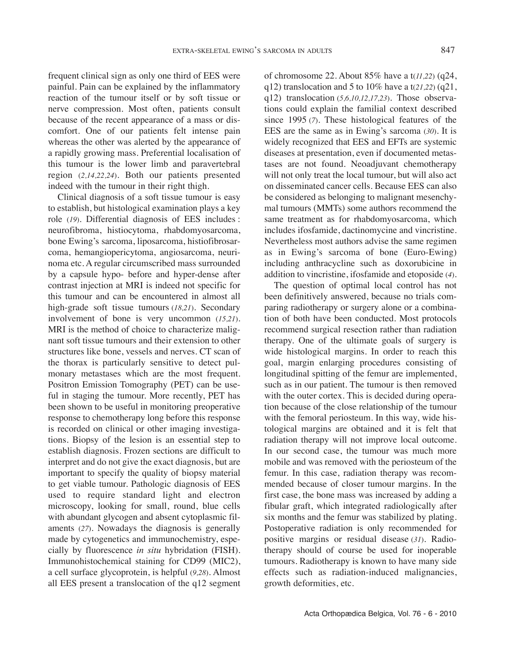frequent clinical sign as only one third of EES were painful. pain can be explained by the inflammatory reaction of the tumour itself or by soft tissue or nerve compression. Most often, patients consult because of the recent appearance of a mass or discomfort. One of our patients felt intense pain whereas the other was alerted by the appearance of a rapidly growing mass. preferential localisation of this tumour is the lower limb and paravertebral region (*2,14,22,24*)*.* Both our patients presented indeed with the tumour in their right thigh.

Clinical diagnosis of a soft tissue tumour is easy to establish, but histological examination plays a key role (*19*)*.* Differential diagnosis of EES includes : neurofibroma, histiocytoma, rhabdomyosarcoma, bone Ewing's sarcoma, liposarcoma, histiofibrosarcoma, hemangiopericytoma, angiosarcoma, neurinoma etc. A regular circumscribed mass surrounded by a capsule hypo- before and hyper-dense after contrast injection at MRI is indeed not specific for this tumour and can be encountered in almost all high-grade soft tissue tumours (*18,21*). Secondary involvement of bone is very uncommon (*15,21*). MRI is the method of choice to characterize malignant soft tissue tumours and their extension to other structures like bone, vessels and nerves. CT scan of the thorax is particularly sensitive to detect pulmonary metastases which are the most frequent. positron Emission Tomography (pET) can be useful in staging the tumour. More recently, pET has been shown to be useful in monitoring preoperative response to chemotherapy long before this response is recorded on clinical or other imaging investigations. Biopsy of the lesion is an essential step to establish diagnosis. Frozen sections are difficult to interpret and do not give the exact diagnosis, but are important to specify the quality of biopsy material to get viable tumour. Pathologic diagnosis of EES used to require standard light and electron microscopy, looking for small, round, blue cells with abundant glycogen and absent cytoplasmic filaments (27). Nowadays the diagnosis is generally made by cytogenetics and immunochemistry, especially by fluorescence *in situ* hybridation (FISh). Immunohistochemical staining for CD99 (MIC2), a cell surface glycoprotein, is helpful (*9,28*)*.* Almost all EES present a translocation of the q12 segment q12) translocation (*5,6,10,12,17,23*)*.* Those observations could explain the familial context described since 1995 (*7*)*.* These histological features of the EES are the same as in Ewing's sarcoma (*30*)*.* It is widely recognized that EES and EFTs are systemic diseases at presentation, even if documented metastases are not found. Neoadjuvant chemotherapy will not only treat the local tumour, but will also act on disseminated cancer cells. Because EES can also be considered as belonging to malignant mesenchymal tumours (MMTs) some authors recommend the same treatment as for rhabdomyosarcoma, which includes ifosfamide, dactinomycine and vincristine. Nevertheless most authors advise the same regimen as in Ewing's sarcoma of bone (Euro-Ewing) including anthracycline such as doxorubicine in addition to vincristine, ifosfamide and etoposide (*4*)*.* The question of optimal local control has not been definitively answered, because no trials com-

of chromosome 22. About 85% have a t(*11,22*) (q24, q12) translocation and 5 to 10% have a t(*21,22*) (q21,

paring radiotherapy or surgery alone or a combination of both have been conducted. Most protocols recommend surgical resection rather than radiation therapy. One of the ultimate goals of surgery is wide histological margins. In order to reach this goal, margin enlarging procedures consisting of longitudinal spitting of the femur are implemented, such as in our patient. The tumour is then removed with the outer cortex. This is decided during operation because of the close relationship of the tumour with the femoral periosteum. In this way, wide histological margins are obtained and it is felt that radiation therapy will not improve local outcome. In our second case, the tumour was much more mobile and was removed with the periosteum of the femur. In this case, radiation therapy was recommended because of closer tumour margins. In the first case, the bone mass was increased by adding a fibular graft, which integrated radiologically after six months and the femur was stabilized by plating. postoperative radiation is only recommended for positive margins or residual disease (31). Radiotherapy should of course be used for inoperable tumours. Radiotherapy is known to have many side effects such as radiation-induced malignancies, growth deformities, etc.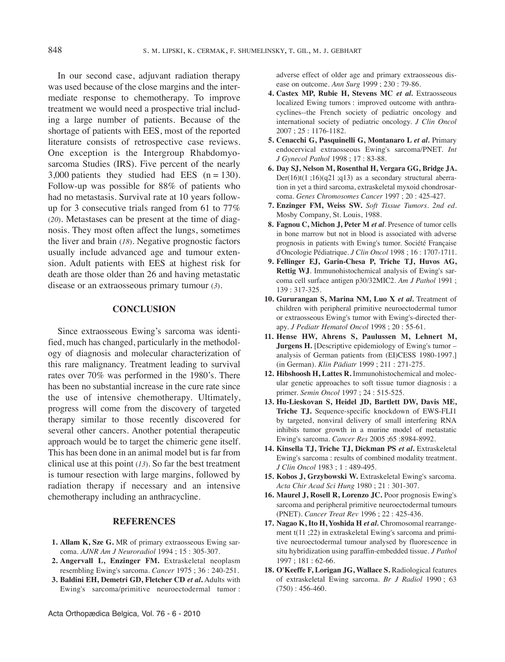In our second case, adjuvant radiation therapy was used because of the close margins and the intermediate response to chemotherapy. To improve treatment we would need a prospective trial including a large number of patients. Because of the shortage of patients with EES, most of the reported literature consists of retrospective case reviews. One exception is the Intergroup Rhabdomyosarcoma Studies (IRS). Five percent of the nearly 3,000 patients they studied had EES  $(n = 130)$ . Follow-up was possible for 88% of patients who had no metastasis. Survival rate at 10 years followup for 3 consecutive trials ranged from 61 to 77% (*20*)*.* Metastases can be present at the time of diagnosis. They most often affect the lungs, sometimes the liver and brain (*18*). Negative prognostic factors usually include advanced age and tumour extension. Adult patients with EES at highest risk for death are those older than 26 and having metastatic disease or an extraosseous primary tumour (*3*)*.*

#### **CONCLUSION**

Since extraosseous Ewing's sarcoma was identified, much has changed, particularly in the methodology of diagnosis and molecular characterization of this rare malignancy. Treatment leading to survival rates over 70% was performed in the 1980's. There has been no substantial increase in the cure rate since the use of intensive chemotherapy. Ultimately, progress will come from the discovery of targeted therapy similar to those recently discovered for several other cancers. Another potential therapeutic approach would be to target the chimeric gene itself. This has been done in an animal model but is far from clinical use at this point (*13*)*.* So far the best treatment is tumour resection with large margins, followed by radiation therapy if necessary and an intensive chemotherapy including an anthracycline.

#### **REFERENCES**

- **1. Allam K, Sze G.** Mr of primary extraosseous Ewing sarcoma. *AJNR Am J Neuroradiol* 1994 ; 15 : 305-307.
- **2. Angervall L, Enzinger FM.** Extraskeletal neoplasm resembling Ewing's sarcoma. *Cancer* 1975 ; 36 : 240-251.
- **3. Baldini EH, Demetri GD, Fletcher CD** *et al***.** Adults with Ewing's sarcoma/primitive neuroectodermal tumor :

adverse effect of older age and primary extraosseous disease on outcome. *Ann Surg* 1999 ; 230 : 79-86.

- **4. Castex MP, Rubie H, Stevens MC** *et al.* Extraosseous localized Ewing tumors : improved outcome with anthracyclines--the French society of pediatric oncology and international society of pediatric oncology. *J Clin Oncol* 2007 ; 25 : 1176-1182.
- **5. Cenacchi G, Pasquinelli G, Montanaro L** *et al.* primary endocervical extraosseous Ewing's sarcoma/pnET. *Int J Gynecol Pathol* 1998 ; 17 : 83-88.
- **6. Day SJ, Nelson M, Rosenthal H, Vergara GG, Bridge JA.** Der(16)t(1;16)(q21;q13) as a secondary structural aberration in yet a third sarcoma, extraskeletal myxoid chondrosarcoma. *Genes Chromosomes Cancer* 1997 ; 20 : 425-427.
- **7. Enzinger FM, Weiss SW.** *Soft Tissue Tumors. 2nd ed.* Mosby Company, St. Louis, 1988.
- **8. Fagnou C, Michon J, Peter M** *et al.* presence of tumor cells in bone marrow but not in blood is associated with adverse prognosis in patients with Ewing's tumor. Société Française d'Oncologie pédiatrique. *J Clin Oncol* 1998 ; 16 : 1707-1711.
- **9. Fellinger EJ, Garin-Chesa P, Triche TJ, Huvos AG, Rettig WJ**. Immunohistochemical analysis of Ewing's sarcoma cell surface antigen p30/32MIC2. *Am J Pathol* 1991 ; 139 : 317-325.
- **10. Gururangan S, Marina NM, Luo X** *et al.* Treatment of children with peripheral primitive neuroectodermal tumor or extraosseous Ewing's tumor with Ewing's-directed therapy. *J Pediatr Hematol Oncol* 1998 ; 20 : 55-61.
- **11. Hense HW, Ahrens S, Paulussen M, Lehnert M, Jurgens H.** [Descriptive epidemiology of Ewing's tumor – analysis of German patients from (EI)CESS 1980-1997.] (in German). *Klin Pädiatr* 1999 ; 211 : 271-275.
- **12. Hibshoosh H, Lattes R.** Immunohistochemical and molecular genetic approaches to soft tissue tumor diagnosis : a primer. *Semin Oncol* 1997 ; 24 : 515-525.
- **13. Hu-Lieskovan S, Heidel JD, Bartlett DW, Davis ME, Triche TJ.** Sequence-specific knockdown of EWS-FLI1 by targeted, nonviral delivery of small interfering RNA inhibits tumor growth in a murine model of metastatic Ewing's sarcoma. *Cancer Res* 2005 ;65 :8984-8992.
- **14. Kinsella TJ, Triche TJ, Dickman PS** *et al***.** Extraskeletal Ewing's sarcoma : results of combined modality treatment. *J Clin Oncol* 1983 ; 1 : 489-495.
- **15. Kobos J, Grzybowski W.** Extraskeletal Ewing's sarcoma. *Acta Chir Acad Sci Hung* 1980 ; 21 : 301-307.
- **16. Maurel J, Rosell R, Lorenzo JC.** poor prognosis Ewing's sarcoma and peripheral primitive neuroectodermal tumours (pnET). *Cancer Treat Rev* 1996 ; 22 : 425-436.
- **17. Nagao K, Ito H, Yoshida H** *et al.* Chromosomal rearrangement t(11 ;22) in extraskeletal Ewing's sarcoma and primitive neuroectodermal tumour analysed by fluorescence in situ hybridization using paraffin-embedded tissue. *J Pathol* 1997 ; 181 : 62-66.
- 18. O'Keeffe F, Lorigan JG, Wallace S. Radiological features of extraskeletal Ewing sarcoma. *Br J Radiol* 1990 ; 63  $(750): 456-460.$